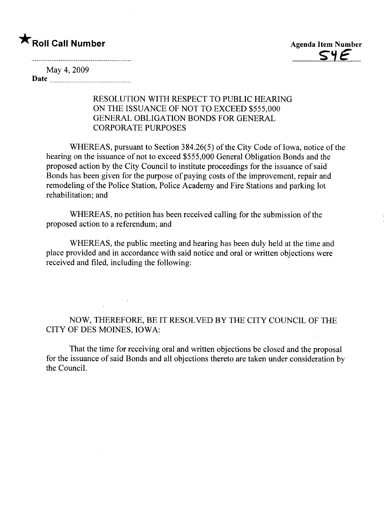

May 4, 2009 Date

## RESOLUTION WITH RESPECT TO PUBLIC HEARING ON THE ISSUANCE OF NOT TO EXCEED \$555,000 GENERAL OBLIGATION BONDS FOR GENERAL CORPORA TE PURPOSES

WHEREAS, pursuant to Section 384.26(5) of the City Code of Iowa, notice of the hearing on the issuance of not to exceed \$555,000 General Obligation Bonds and the proposed action by the City Council to institute proceedings for the issuance of said Bonds has been given for the purpose of paying costs of the improvement, repair and remodeling of the Police Station, Police Academy and Fire Stations and parking lot rehabilitation; and

WHEREAS, no petition has been received calling for the submission of the proposed action to a referendum; and

WHEREAS, the public meeting and hearing has been duly held at the time and place provided and in accordance with said notice and oral or written objections were received and fied, including the following:

NOW, THEREFORE, BE IT RESOLVED BY THE CITY COUNCIL OF THE CITY OF DES MOINES, IOWA:

That the time for receiving oral and written objections be closed and the proposal for the issuance of said Bonds and all objections thereto are taken under consideration by the CounciL.